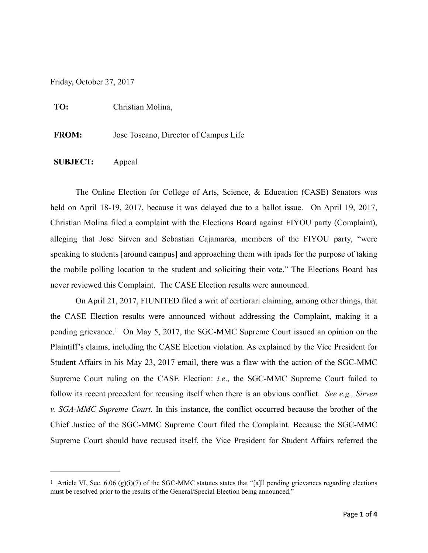Friday, October 27, 2017

**TO:** Christian Molina,

**FROM:** Jose Toscano, Director of Campus Life

### **SUBJECT:** Appeal

The Online Election for College of Arts, Science, & Education (CASE) Senators was held on April 18-19, 2017, because it was delayed due to a ballot issue. On April 19, 2017, Christian Molina filed a complaint with the Elections Board against FIYOU party (Complaint), alleging that Jose Sirven and Sebastian Cajamarca, members of the FIYOU party, "were speaking to students [around campus] and approaching them with ipads for the purpose of taking the mobile polling location to the student and soliciting their vote." The Elections Board has never reviewed this Complaint. The CASE Election results were announced.

<span id="page-0-1"></span>On April 21, 2017, FIUNITED filed a writ of certiorari claiming, among other things, that the CASE Election results were announced without addressing the Complaint, making it a pending grievance[.](#page-0-0)<sup>[1](#page-0-0)</sup> On May 5, 2017, the SGC-MMC Supreme Court issued an opinion on the Plaintiff's claims, including the CASE Election violation. As explained by the Vice President for Student Affairs in his May 23, 2017 email, there was a flaw with the action of the SGC-MMC Supreme Court ruling on the CASE Election: *i.e*., the SGC-MMC Supreme Court failed to follow its recent precedent for recusing itself when there is an obvious conflict. *See e.g., Sirven v. SGA-MMC Supreme Court*. In this instance, the conflict occurred because the brother of the Chief Justice of the SGC-MMC Supreme Court filed the Complaint. Because the SGC-MMC Supreme Court should have recused itself, the Vice President for Student Affairs referred the

<span id="page-0-0"></span><sup>&</sup>lt;sup>[1](#page-0-1)</sup> Article VI, Sec. 6.06 (g)(i)(7) of the SGC-MMC statutes states that "[a]ll pending grievances regarding elections must be resolved prior to the results of the General/Special Election being announced."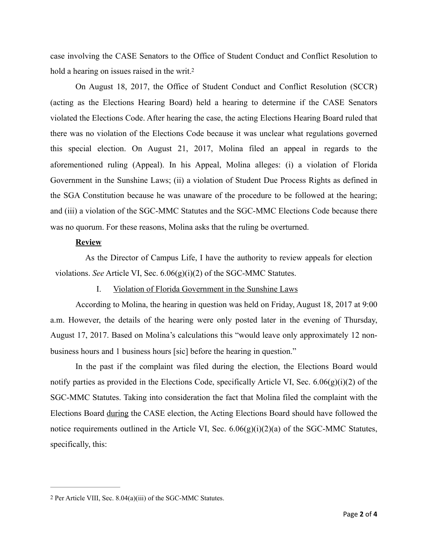<span id="page-1-1"></span>case involving the CASE Senators to the Office of Student Conduct and Conflict Resolution to hold a hearing on issues raised in the writ[.](#page-1-0)<sup>[2](#page-1-0)</sup>

On August 18, 2017, the Office of Student Conduct and Conflict Resolution (SCCR) (acting as the Elections Hearing Board) held a hearing to determine if the CASE Senators violated the Elections Code. After hearing the case, the acting Elections Hearing Board ruled that there was no violation of the Elections Code because it was unclear what regulations governed this special election. On August 21, 2017, Molina filed an appeal in regards to the aforementioned ruling (Appeal). In his Appeal, Molina alleges: (i) a violation of Florida Government in the Sunshine Laws; (ii) a violation of Student Due Process Rights as defined in the SGA Constitution because he was unaware of the procedure to be followed at the hearing; and (iii) a violation of the SGC-MMC Statutes and the SGC-MMC Elections Code because there was no quorum. For these reasons, Molina asks that the ruling be overturned.

# **Review**

 As the Director of Campus Life, I have the authority to review appeals for election violations. *See* Article VI, Sec. 6.06(g)(i)(2) of the SGC-MMC Statutes.

I. Violation of Florida Government in the Sunshine Laws

According to Molina, the hearing in question was held on Friday, August 18, 2017 at 9:00 a.m. However, the details of the hearing were only posted later in the evening of Thursday, August 17, 2017. Based on Molina's calculations this "would leave only approximately 12 nonbusiness hours and 1 business hours [sic] before the hearing in question."

In the past if the complaint was filed during the election, the Elections Board would notify parties as provided in the Elections Code, specifically Article VI, Sec. 6.06(g)(i)(2) of the SGC-MMC Statutes. Taking into consideration the fact that Molina filed the complaint with the Elections Board during the CASE election, the Acting Elections Board should have followed the notice requirements outlined in the Article VI, Sec.  $6.06(g)(i)(2)(a)$  of the SGC-MMC Statutes, specifically, this:

<span id="page-1-0"></span>[<sup>2</sup>](#page-1-1) Per Article VIII, Sec. 8.04(a)(iii) of the SGC-MMC Statutes.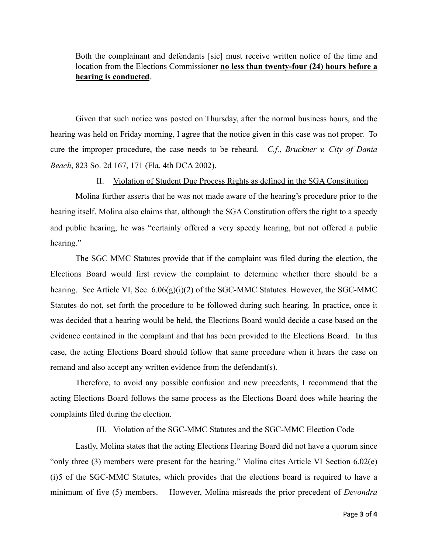Both the complainant and defendants [sic] must receive written notice of the time and location from the Elections Commissioner **no less than twenty-four (24) hours before a hearing is conducted**.

Given that such notice was posted on Thursday, after the normal business hours, and the hearing was held on Friday morning, I agree that the notice given in this case was not proper. To cure the improper procedure, the case needs to be reheard. *C.f.*, *Bruckner v. City of Dania Beach*, 823 So. 2d 167, 171 (Fla. 4th DCA 2002).

#### II. Violation of Student Due Process Rights as defined in the SGA Constitution

Molina further asserts that he was not made aware of the hearing's procedure prior to the hearing itself. Molina also claims that, although the SGA Constitution offers the right to a speedy and public hearing, he was "certainly offered a very speedy hearing, but not offered a public hearing."

The SGC MMC Statutes provide that if the complaint was filed during the election, the Elections Board would first review the complaint to determine whether there should be a hearing. See Article VI, Sec.  $6.06(g)(i)(2)$  of the SGC-MMC Statutes. However, the SGC-MMC Statutes do not, set forth the procedure to be followed during such hearing. In practice, once it was decided that a hearing would be held, the Elections Board would decide a case based on the evidence contained in the complaint and that has been provided to the Elections Board. In this case, the acting Elections Board should follow that same procedure when it hears the case on remand and also accept any written evidence from the defendant(s).

Therefore, to avoid any possible confusion and new precedents, I recommend that the acting Elections Board follows the same process as the Elections Board does while hearing the complaints filed during the election.

#### III. Violation of the SGC-MMC Statutes and the SGC-MMC Election Code

Lastly, Molina states that the acting Elections Hearing Board did not have a quorum since "only three (3) members were present for the hearing." Molina cites Article VI Section 6.02(e) (i)5 of the SGC-MMC Statutes, which provides that the elections board is required to have a minimum of five (5) members. However, Molina misreads the prior precedent of *Devondra*